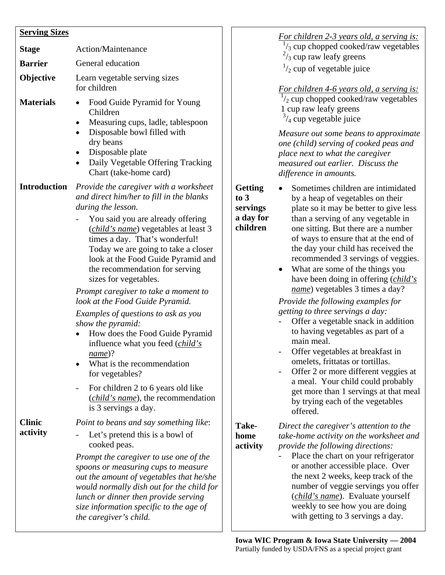| <b>Serving Sizes</b>      |                                                                                                                                                                                                                                                                                                                                                                                                                                                                                               |
|---------------------------|-----------------------------------------------------------------------------------------------------------------------------------------------------------------------------------------------------------------------------------------------------------------------------------------------------------------------------------------------------------------------------------------------------------------------------------------------------------------------------------------------|
| <b>Stage</b>              | <b>Action/Maintenance</b>                                                                                                                                                                                                                                                                                                                                                                                                                                                                     |
| <b>Barrier</b>            | General education                                                                                                                                                                                                                                                                                                                                                                                                                                                                             |
| Objective                 | Learn vegetable serving sizes<br>for children                                                                                                                                                                                                                                                                                                                                                                                                                                                 |
| <b>Materials</b>          | Food Guide Pyramid for Young<br>Children<br>Measuring cups, ladle, tablespoon<br>Disposable bowl filled with<br>dry beans<br>Disposable plate<br>Daily Vegetable Offering Tracking<br>$\bullet$<br>Chart (take-home card)                                                                                                                                                                                                                                                                     |
| <b>Introduction</b>       | Provide the caregiver with a worksheet<br>and direct him/her to fill in the blanks<br>during the lesson.<br>You said you are already offering<br>( <i>child's name</i> ) vegetables at least 3<br>times a day. That's wonderful!<br>Today we are going to take a closer<br>look at the Food Guide Pyramid and<br>the recommendation for serving<br>sizes for vegetables.                                                                                                                      |
|                           | Prompt caregiver to take a moment to<br>look at the Food Guide Pyramid.<br>Examples of questions to ask as you<br>show the pyramid:<br>How does the Food Guide Pyramid<br>influence what you feed ( <i>child's</i><br>name)?<br>What is the recommendation<br>for vegetables?                                                                                                                                                                                                                 |
| <b>Clinic</b><br>activity | For children 2 to 6 years old like<br>( <i>child's name</i> ), the recommendation<br>is 3 servings a day.<br>Point to beans and say something like:<br>Let's pretend this is a bowl of<br>cooked peas.<br>Prompt the caregiver to use one of the<br>spoons or measuring cups to measure<br>out the amount of vegetables that he/she<br>would normally dish out for the child for<br>lunch or dinner then provide serving<br>size information specific to the age of<br>the caregiver's child. |

*For children 2-3 years old, a serving is:*  $\frac{1}{3}$  cup chopped cooked/raw vegetables  $\frac{2}{3}$  cup raw leafy greens

 $\frac{1}{2}$  cup of vegetable juice

*For children 4-6 years old, a serving is:*   $\frac{1}{2}$  cup chopped cooked/raw vegetables 1 cup raw leafy greens  $\frac{3}{4}$  cup vegetable juice

*Measure out some beans to approximate one (child) serving of cooked peas and place next to what the caregiver measured out earlier. Discuss the difference in amounts.* 

**Getting to 3 servings a day for children** 

- Sometimes children are intimidated by a heap of vegetables on their plate so it may be better to give less than a serving of any vegetable in one sitting. But there are a number of ways to ensure that at the end of the day your child has received the recommended 3 servings of veggies.
- What are some of the things you have been doing in offering (*child's name*) vegetables 3 times a day?

*Provide the following examples for getting to three servings a day:* 

- Offer a vegetable snack in addition to having vegetables as part of a main meal.
- Offer vegetables at breakfast in omelets, frittatas or tortillas.
- Offer 2 or more different veggies at a meal. Your child could probably get more than 1 servings at that meal by trying each of the vegetables offered.

| Take-    | Direct the ca |
|----------|---------------|
| home     | take-home a   |
| activity | provide the f |

*Direct the caregiver's attention to the ctivity on the worksheet and provide the following directions:* 

Place the chart on your refrigerator or another accessible place. Over the next 2 weeks, keep track of the number of veggie servings you offer (*child's name*). Evaluate yourself weekly to see how you are doing with getting to 3 servings a day.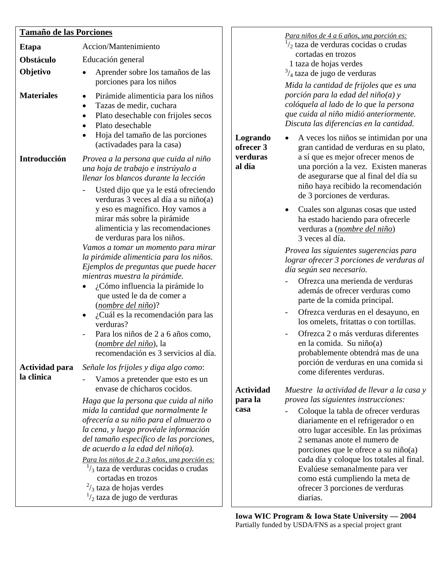## **Tamaño de las Porciones**

| <u>Tamaño de las Porciones</u> |                                                                                                                                                                                                                                                                                                                                                                                                                  |                                 | Para niños de 4 a 6 años, una porción es:                                                                                                                                                                                                                                                                                                                    |
|--------------------------------|------------------------------------------------------------------------------------------------------------------------------------------------------------------------------------------------------------------------------------------------------------------------------------------------------------------------------------------------------------------------------------------------------------------|---------------------------------|--------------------------------------------------------------------------------------------------------------------------------------------------------------------------------------------------------------------------------------------------------------------------------------------------------------------------------------------------------------|
| <b>Etapa</b>                   | Accion/Mantenimiento                                                                                                                                                                                                                                                                                                                                                                                             |                                 | $\frac{1}{2}$ taza de verduras cocidas o crudas                                                                                                                                                                                                                                                                                                              |
| Obstáculo                      | Educación general                                                                                                                                                                                                                                                                                                                                                                                                |                                 | cortadas en trozos<br>1 taza de hojas verdes                                                                                                                                                                                                                                                                                                                 |
| Objetivo                       | Aprender sobre los tamaños de las                                                                                                                                                                                                                                                                                                                                                                                |                                 | $\frac{3}{4}$ taza de jugo de verduras                                                                                                                                                                                                                                                                                                                       |
| <b>Materiales</b>              | porciones para los niños<br>Pirámide alimenticia para los niños<br>$\bullet$<br>Tazas de medir, cuchara<br>Plato desechable con frijoles secos<br>Plato desechable<br>Hoja del tamaño de las porciones                                                                                                                                                                                                           | Logrando                        | Mida la cantidad de frijoles que es una<br>porción para la edad del niño(a) y<br>colóquela al lado de lo que la persona<br>que cuida al niño midió anteriormente.<br>Discuta las diferencias en la cantidad.<br>A veces los niños se intimidan por una                                                                                                       |
| Introducción                   | (activadades para la casa)<br>Provea a la persona que cuida al niño<br>una hoja de trabajo e instrúyalo a<br>llenar los blancos durante la lección<br>Usted dijo que ya le está ofreciendo<br>verduras 3 veces al día a su niño(a)                                                                                                                                                                               | ofrecer 3<br>verduras<br>al día | gran cantidad de verduras en su plato,<br>a sí que es mejor ofrecer menos de<br>una porción a la vez. Existen maneras<br>de asegurarse que al final del día su<br>niño haya recibido la recomendación<br>de 3 porciones de verduras.                                                                                                                         |
|                                | y eso es magnífico. Hoy vamos a<br>mirar más sobre la pirámide<br>alimenticia y las recomendaciones<br>de verduras para los niños.                                                                                                                                                                                                                                                                               |                                 | Cuales son algunas cosas que usted<br>ha estado haciendo para ofrecerle<br>verduras a (nombre del niño)<br>3 veces al día.                                                                                                                                                                                                                                   |
|                                | Vamos a tomar un momento para mirar<br>la pirámide alimenticia para los niños.<br>Ejemplos de preguntas que puede hacer<br>mientras muestra la pirámide.                                                                                                                                                                                                                                                         |                                 | Provea las siguientes sugerencias para<br>lograr ofrecer 3 porciones de verduras al<br>día según sea necesario.                                                                                                                                                                                                                                              |
|                                | ¿Cómo influencia la pirámide lo<br>que usted le da de comer a<br>(nombre del niño)?                                                                                                                                                                                                                                                                                                                              |                                 | Ofrezca una merienda de verduras<br>además de ofrecer verduras como<br>parte de la comida principal.                                                                                                                                                                                                                                                         |
|                                | ¿Cuál es la recomendación para las<br>$\bullet$<br>verduras?                                                                                                                                                                                                                                                                                                                                                     |                                 | Ofrezca verduras en el desayuno, en<br>los omelets, fritattas o con tortillas.                                                                                                                                                                                                                                                                               |
| Actividad para                 | Para los niños de 2 a 6 años como,<br>(nombre del niño), la<br>recomendación es 3 servicios al día.<br>Señale los frijoles y diga algo como:                                                                                                                                                                                                                                                                     |                                 | Ofrezca 2 o más verduras diferentes<br>en la comida. Su niño(a)<br>probablemente obtendrá mas de una<br>porción de verduras en una comida si                                                                                                                                                                                                                 |
| la clinica                     | Vamos a pretender que esto es un                                                                                                                                                                                                                                                                                                                                                                                 |                                 | come diferentes verduras.                                                                                                                                                                                                                                                                                                                                    |
|                                | envase de chícharos cocidos.                                                                                                                                                                                                                                                                                                                                                                                     | <b>Actividad</b>                | Muestre la actividad de llevar a la casa y                                                                                                                                                                                                                                                                                                                   |
|                                | Haga que la persona que cuida al niño                                                                                                                                                                                                                                                                                                                                                                            | para la                         | provea las siguientes instrucciones:                                                                                                                                                                                                                                                                                                                         |
|                                | mida la cantidad que normalmente le<br>ofrecería a su niño para el almuerzo o<br>la cena, y luego provéale información<br>del tamaño específico de las porciones,<br>de acuerdo a la edad del niño(a).<br>Para los niños de 2 a 3 años, una porción es:<br>$\frac{1}{3}$ taza de verduras cocidas o crudas<br>cortadas en trozos<br>$\frac{2}{3}$ taza de hojas verdes<br>$\frac{1}{2}$ taza de jugo de verduras | casa                            | Coloque la tabla de ofrecer verduras<br>diariamente en el refrigerador o en<br>otro lugar accesible. En las próximas<br>2 semanas anote el numero de<br>porciones que le ofrece a su niño(a)<br>cada día y coloque los totales al final.<br>Evalúese semanalmente para ver<br>como está cumpliendo la meta de<br>ofrecer 3 porciones de verduras<br>diarias. |

**Iowa WIC Program & Iowa State University — 2004**  Partially funded by USDA/FNS as a special project grant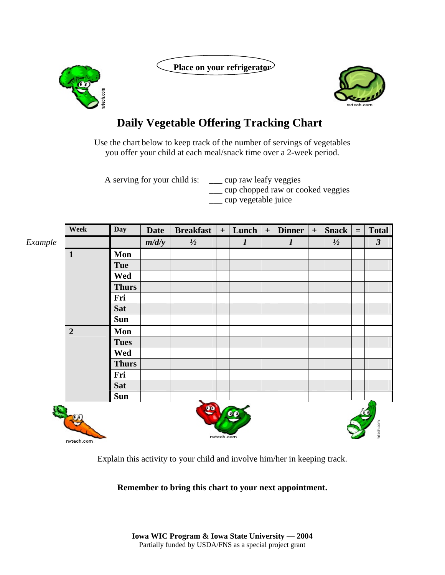Place on your refrigerator





## **Daily Vegetable Offering Tracking Chart**

Use the chart below to keep track of the number of servings of vegetables you offer your child at each meal/snack time over a 2-week period.

A serving for your child is: **\_\_\_** cup raw leafy veggies \_\_\_ cup chopped raw or cooked veggies \_\_\_ cup vegetable juice

|         | Week           | <b>Day</b>   | <b>Date</b> | <b>Breakfast</b> | $+$        | Lunch            | $+$ | <b>Dinner</b>    | $+$ | <b>Snack</b>  | $\equiv$ | <b>Total</b>         |
|---------|----------------|--------------|-------------|------------------|------------|------------------|-----|------------------|-----|---------------|----------|----------------------|
| Example |                |              | m/d/y       | $\frac{1}{2}$    |            | $\boldsymbol{l}$ |     | $\boldsymbol{l}$ |     | $\frac{1}{2}$ |          | $\boldsymbol{\beta}$ |
|         | $\mathbf{1}$   | Mon          |             |                  |            |                  |     |                  |     |               |          |                      |
|         |                | <b>Tue</b>   |             |                  |            |                  |     |                  |     |               |          |                      |
|         |                | Wed          |             |                  |            |                  |     |                  |     |               |          |                      |
|         |                | <b>Thurs</b> |             |                  |            |                  |     |                  |     |               |          |                      |
|         |                | Fri          |             |                  |            |                  |     |                  |     |               |          |                      |
|         |                | <b>Sat</b>   |             |                  |            |                  |     |                  |     |               |          |                      |
|         |                | <b>Sun</b>   |             |                  |            |                  |     |                  |     |               |          |                      |
|         | $\overline{2}$ | Mon          |             |                  |            |                  |     |                  |     |               |          |                      |
|         |                | <b>Tues</b>  |             |                  |            |                  |     |                  |     |               |          |                      |
|         |                | Wed          |             |                  |            |                  |     |                  |     |               |          |                      |
|         |                | <b>Thurs</b> |             |                  |            |                  |     |                  |     |               |          |                      |
|         |                | Fri          |             |                  |            |                  |     |                  |     |               |          |                      |
|         |                | <b>Sat</b>   |             |                  |            |                  |     |                  |     |               |          |                      |
|         |                | <b>Sun</b>   |             |                  |            |                  |     |                  |     |               |          |                      |
|         | nvtech.com     |              |             | $\bullet$        | nvtech.com |                  |     |                  |     |               |          | nvtech.com           |

Explain this activity to your child and involve him/her in keeping track.

## **Remember to bring this chart to your next appointment.**